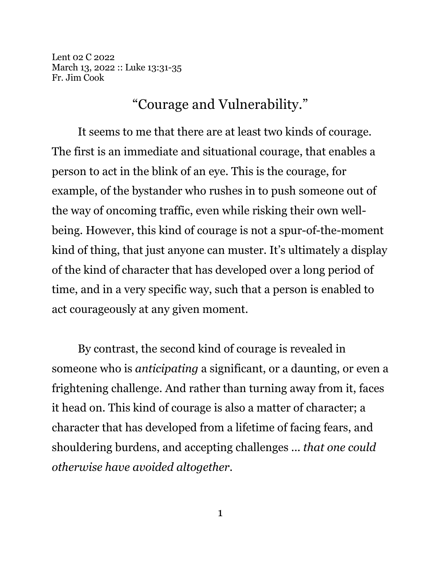Lent 02 C 2022 March 13, 2022 :: Luke 13:31-35 Fr. Jim Cook

## "Courage and Vulnerability."

It seems to me that there are at least two kinds of courage. The first is an immediate and situational courage, that enables a person to act in the blink of an eye. This is the courage, for example, of the bystander who rushes in to push someone out of the way of oncoming traffic, even while risking their own wellbeing. However, this kind of courage is not a spur-of-the-moment kind of thing, that just anyone can muster. It's ultimately a display of the kind of character that has developed over a long period of time, and in a very specific way, such that a person is enabled to act courageously at any given moment.

By contrast, the second kind of courage is revealed in someone who is *anticipating* a significant, or a daunting, or even a frightening challenge. And rather than turning away from it, faces it head on. This kind of courage is also a matter of character; a character that has developed from a lifetime of facing fears, and shouldering burdens, and accepting challenges ... *that one could otherwise have avoided altogether*.

1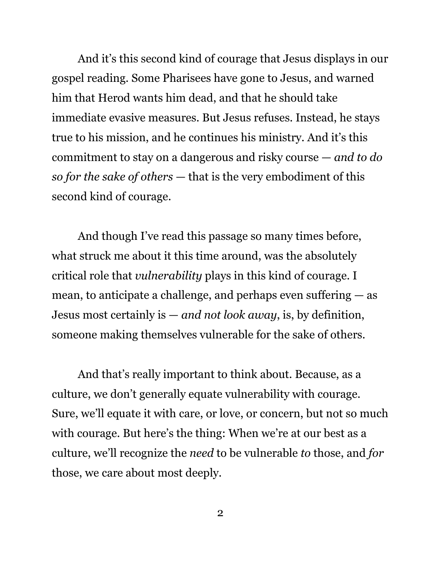And it's this second kind of courage that Jesus displays in our gospel reading. Some Pharisees have gone to Jesus, and warned him that Herod wants him dead, and that he should take immediate evasive measures. But Jesus refuses. Instead, he stays true to his mission, and he continues his ministry. And it's this commitment to stay on a dangerous and risky course — *and to do so for the sake of others* — that is the very embodiment of this second kind of courage.

And though I've read this passage so many times before, what struck me about it this time around, was the absolutely critical role that *vulnerability* plays in this kind of courage. I mean, to anticipate a challenge, and perhaps even suffering — as Jesus most certainly is — *and not look away*, is, by definition, someone making themselves vulnerable for the sake of others.

And that's really important to think about. Because, as a culture, we don't generally equate vulnerability with courage. Sure, we'll equate it with care, or love, or concern, but not so much with courage. But here's the thing: When we're at our best as a culture, we'll recognize the *need* to be vulnerable *to* those, and *for* those, we care about most deeply.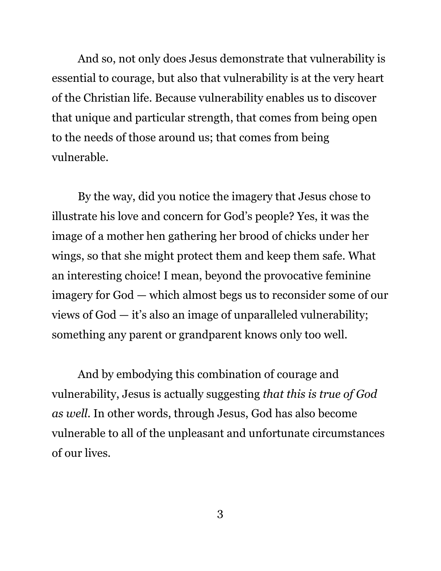And so, not only does Jesus demonstrate that vulnerability is essential to courage, but also that vulnerability is at the very heart of the Christian life. Because vulnerability enables us to discover that unique and particular strength, that comes from being open to the needs of those around us; that comes from being vulnerable.

By the way, did you notice the imagery that Jesus chose to illustrate his love and concern for God's people? Yes, it was the image of a mother hen gathering her brood of chicks under her wings, so that she might protect them and keep them safe. What an interesting choice! I mean, beyond the provocative feminine imagery for God — which almost begs us to reconsider some of our views of God — it's also an image of unparalleled vulnerability; something any parent or grandparent knows only too well.

And by embodying this combination of courage and vulnerability, Jesus is actually suggesting *that this is true of God as well*. In other words, through Jesus, God has also become vulnerable to all of the unpleasant and unfortunate circumstances of our lives.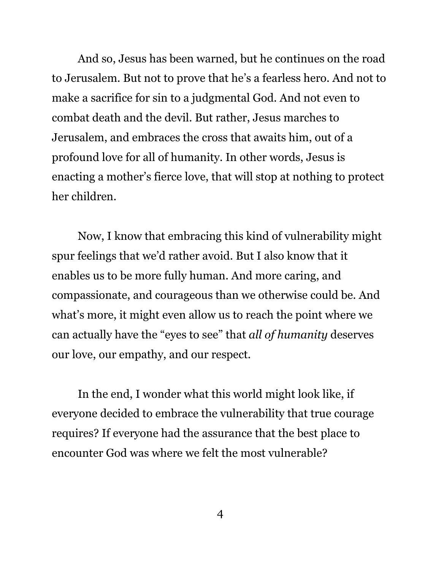And so, Jesus has been warned, but he continues on the road to Jerusalem. But not to prove that he's a fearless hero. And not to make a sacrifice for sin to a judgmental God. And not even to combat death and the devil. But rather, Jesus marches to Jerusalem, and embraces the cross that awaits him, out of a profound love for all of humanity. In other words, Jesus is enacting a mother's fierce love, that will stop at nothing to protect her children.

Now, I know that embracing this kind of vulnerability might spur feelings that we'd rather avoid. But I also know that it enables us to be more fully human. And more caring, and compassionate, and courageous than we otherwise could be. And what's more, it might even allow us to reach the point where we can actually have the "eyes to see" that *all of humanity* deserves our love, our empathy, and our respect.

In the end, I wonder what this world might look like, if everyone decided to embrace the vulnerability that true courage requires? If everyone had the assurance that the best place to encounter God was where we felt the most vulnerable?